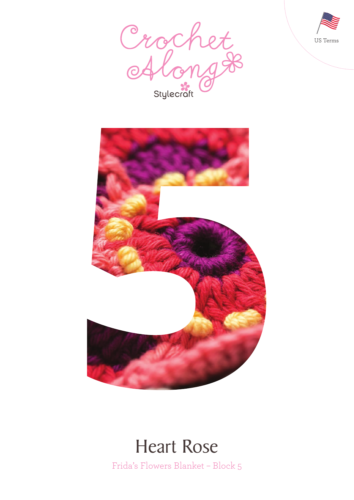





### Heart Rose

Frida's Flowers Blanket – Block 5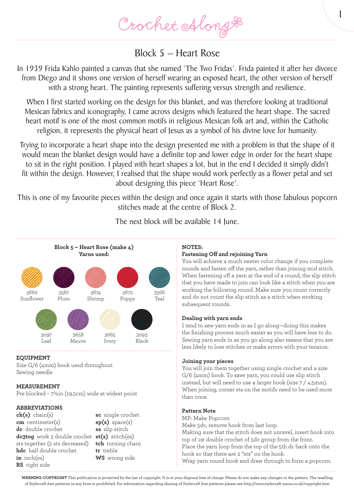Crochet Along &

### Block 5 – Heart Rose

In 1939 Frida Kahlo painted a canvas that she named 'The Two Fridas'. Frida painted it after her divorce from Diego and it shows one version of herself wearing an exposed heart, the other version of herself with a strong heart. The painting represents suffering versus strength and resilience.

When I first started working on the design for this blanket, and was therefore looking at traditional Mexican fabrics and iconography, I came across designs which featured the heart shape. The sacred heart motif is one of the most common motifs in religious Mexican folk art and, within the Catholic religion, it represents the physical heart of Jesus as a symbol of his divine love for humanity.

Trying to incorporate a heart shape into the design presented me with a problem in that the shape of it would mean the blanket design would have a definite top and lower edge in order for the heart shape to sit in the right position. I played with heart shapes a lot, but in the end I decided it simply didn't fit within the design. However, I realised that the shape would work perfectly as a flower petal and set about designing this piece 'Heart Rose'.

This is one of my favourite pieces within the design and once again it starts with those fabulous popcorn stitches made at the centre of Block 2.



### The next block will be available 14 June.

#### **EQUIPMENT**

Size G/6 (4mm) hook used throughout Sewing needle

#### **MEASUREMENT**

Pre blocked – 7¾in (19.5cm) wide at widest point

#### **ABBREVIATIONS**

**ch(s)** chain(s) **cm** centimeter(s) **dc** double crochet **dc3tog** work 3 double crochet **st(s)** stitch(es) sts together (2 sts decreased) **hdc** half double crochet **in** inch(es) **RS** right side

**sc** single crochet **sp(s)** space(s) **ss** slip stitch **tch** turning chain **tr** treble **WS** wrong side

#### **NOTES:**

#### **Fastening Off and rejoining Yarn**

You will achieve a much neater color change if you complete rounds and fasten off the yarn, rather than joining mid stitch. When fastening off a yarn at the end of a round, the slip stitch that you have made to join can look like a stitch when you are working the following round. Make sure you count correctly and do not count the slip stitch as a stitch when working subsequent rounds.

1

#### **Dealing with yarn ends**

I tend to sew yarn ends in as I go along—doing this makes the finishing process much easier as you will have less to do. Sewing yarn ends in as you go along also means that you are less likely to lose stitches or make errors with your tension.

#### **Joining your pieces**

You will join them together using single crochet and a size G/6 (4mm) hook. To save yarn, you could use slip stitch instead, but will need to use a larger hook (size 7 / 4.5mm). When joining, corner sts on the motifs need to be used more than once.

#### **Pattern Note**

MP: Make Popcorn Make 5dc, remove hook from last loop. Making sure that the stitch does not unravel, insert hook into top of 1st double crochet of 5dc group from the front. Place the yarn loop from the top of the 5th dc back onto the hook so that there are 2 "sts" on the hook. Wrap yarn round hook and draw through to form a popcorn.

**WARNING-COPYRIGHT** This publication is protected by the law of copyright. It is at your disposal free of charge. Please do not make any changes to the pattern. The reselling of Stylecraft free patterns in any form is prohibited. For information regarding sharing of Stylecraft free patterns please see http://www.stylecraft-yarns.co.uk/copyright.htm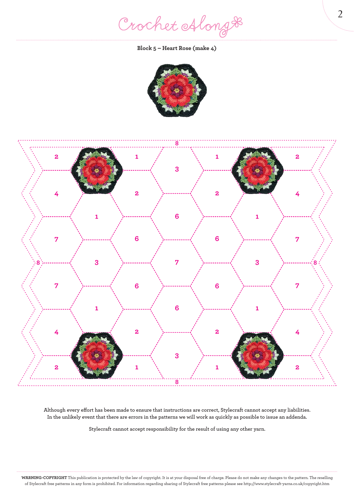Crochet Along #

**Block 5 – Heart Rose (make 4)**





**Although every effort has been made to ensure that instructions are correct, Stylecraft cannot accept any liabilities. In the unlikely event that there are errors in the patterns we will work as quickly as possible to issue an addenda.**

**Stylecraft cannot accept responsibility for the result of using any other yarn.**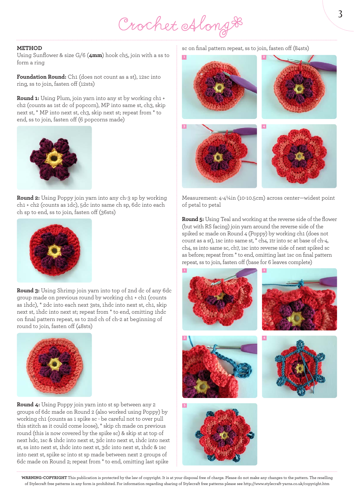# Crochet Along #

#### **METHOD**

Using Sunflower & size G/6 (**4mm**) hook ch5, join with a ss to form a ring

**Foundation Round:** Ch1 (does not count as a st), 12sc into ring, ss to join, fasten off (12sts)

**Round 1:** Using Plum, join yarn into any st by working ch1 + ch2 (counts as 1st dc of popcorn), MP into same st, ch3, skip next st, \* MP into next st, ch3, skip next st; repeat from \* to end, ss to join, fasten off (6 popcorns made)



**Round 2:** Using Poppy join yarn into any ch-3 sp by working ch1 + ch2 (counts as 1dc), 5dc into same ch sp, 6dc into each ch sp to end, ss to join, fasten off (36sts)



**Round 3:** Using Shrimp join yarn into top of 2nd dc of any 6dc group made on previous round by working ch1 + ch1 (counts as 1hdc), \* 2dc into each next 3sts, 1hdc into next st, ch1, skip next st, 1hdc into next st; repeat from \* to end, omitting 1hdc on final pattern repeat, ss to 2nd ch of ch-2 at beginning of round to join, fasten off (48sts)



**Round 4:** Using Poppy join yarn into st sp between any 2 groups of 6dc made on Round 2 (also worked using Poppy) by working ch1 (counts as 1 spike sc - be careful not to over pull this stitch as it could come loose), \* skip ch made on previous round (this is now covered by the spike sc) & skip st at top of next hdc, 1sc & 1hdc into next st, 3dc into next st, 1hdc into next st, ss into next st, 1hdc into next st, 3dc into next st, 1hdc & 1sc into next st, spike sc into st sp made between next 2 groups of 6dc made on Round 2; repeat from \* to end, omitting last spike

sc on final pattern repeat, ss to join, fasten off (84sts)



Measurement: 4-4¼in (10-10.5cm) across center—widest point of petal to petal

**Round 5:** Using Teal and working at the reverse side of the flower (but with RS facing) join yarn around the reverse side of the spiked sc made on Round 4 (Poppy) by working ch1 (does not count as a st), 1sc into same st, \* ch4, 1tr into sc at base of ch-4, ch4, ss into same sc, ch7, 1sc into reverse side of next spiked sc as before; repeat from \* to end, omitting last 1sc on final pattern repeat, ss to join, fasten off (base for 6 leaves complete)











**WARNING-COPYRIGHT** This publication is protected by the law of copyright. It is at your disposal free of charge. Please do not make any changes to the pattern. The reselling of Stylecraft free patterns in any form is prohibited. For information regarding sharing of Stylecraft free patterns please see http://www.stylecraft-yarns.co.uk/copyright.htm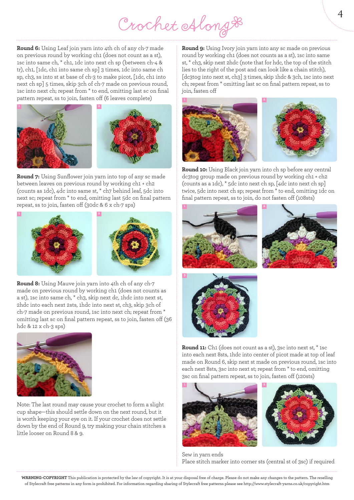## Crochet Along #

**Round 6:** Using Leaf join yarn into 4th ch of any ch-7 made on previous round by working ch1 (does not count as a st), 1sc into same ch, \* ch1, 1dc into next ch sp (between ch-4 & tr), ch1, [1dc, ch1 into same ch sp] 3 times, 1dc into same ch sp, ch3, ss into st at base of ch-3 to make picot, [1dc, ch1 into next ch sp] 5 times, skip 3ch of ch-7 made on previous round, 1sc into next ch; repeat from \* to end, omitting last sc on final pattern repeat, ss to join, fasten off (6 leaves complete)



**Round 7:** Using Sunflower join yarn into top of any sc made between leaves on previous round by working ch1 + ch2 (counts as 1dc), 4dc into same st, \* ch7 behind leaf, 5dc into next sc; repeat from \* to end, omitting last 5dc on final pattern repeat, ss to join, fasten off (30dc & 6 x ch-7 sps)



**Round 8:** Using Mauve join yarn into 4th ch of any ch-7 made on previous round by working ch1 (does not counts as a st), 1sc into same ch, \* ch3, skip next dc, 1hdc into next st, 2hdc into each next 2sts, 1hdc into next st, ch3, skip 3ch of ch-7 made on previous round, 1sc into next ch; repeat from \* omitting last sc on final pattern repeat, ss to join, fasten off (36 hdc & 12 x ch-3 sps)



Note: The last round may cause your crochet to form a slight cup shape—this should settle down on the next round, but it is worth keeping your eye on it. If your crochet does not settle down by the end of Round 9, try making your chain stitches a little looser on Round 8 & 9.

**Round 9:** Using Ivory join yarn into any sc made on previous round by working ch1 (does not counts as a st), 1sc into same st, \* ch3, skip next 2hdc (note that for hdc, the top of the stitch lies to the right of the post and can look like a chain stitch), [dc3tog into next st, ch3] 3 times, skip 1hdc & 3ch, 1sc into next ch; repeat from \* omitting last sc on final pattern repeat, ss to join, fasten off





**Round 10:** Using Black join yarn into ch sp before any central dc3tog group made on previous round by working ch1 + ch2 (counts as a 1dc), \* 5dc into next ch sp, [4dc into next ch sp] twice, 5dc into next ch sp; repeat from \* to end, omitting 1dc on final pattern repeat, ss to join, do not fasten off (108sts)







**Round 11:** Ch1 (does not count as a st), 3sc into next st, \* 1sc into each next 8sts, 1hdc into center of picot made at top of leaf made on Round 6, skip next st made on previous round, 1sc into each next 8sts, 3sc into next st; repeat from \* to end, omitting 3sc on final pattern repeat, ss to join, fasten off (120sts)





Sew in yarn ends Place stitch marker into corner sts (central st of 3sc) if required

**WARNING-COPYRIGHT** This publication is protected by the law of copyright. It is at your disposal free of charge. Please do not make any changes to the pattern. The reselling of Stylecraft free patterns in any form is prohibited. For information regarding sharing of Stylecraft free patterns please see http://www.stylecraft-yarns.co.uk/copyright.htm